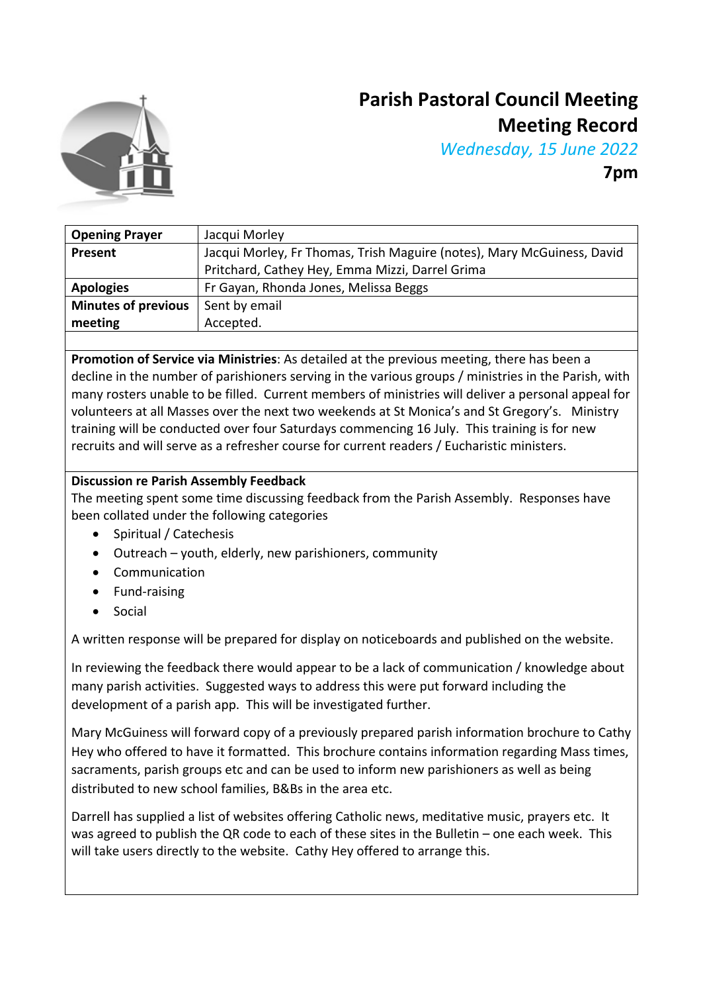

# **Parish Pastoral Council Meeting Meeting Record**

*Wednesday, 15 June 2022*

**7pm**

| <b>Opening Prayer</b>      | Jacqui Morley                                                          |
|----------------------------|------------------------------------------------------------------------|
| Present                    | Jacqui Morley, Fr Thomas, Trish Maguire (notes), Mary McGuiness, David |
|                            | Pritchard, Cathey Hey, Emma Mizzi, Darrel Grima                        |
| <b>Apologies</b>           | Fr Gayan, Rhonda Jones, Melissa Beggs                                  |
| <b>Minutes of previous</b> | Sent by email                                                          |
| meeting                    | Accepted.                                                              |
|                            |                                                                        |

**Promotion of Service via Ministries**: As detailed at the previous meeting, there has been a decline in the number of parishioners serving in the various groups / ministries in the Parish, with many rosters unable to be filled. Current members of ministries will deliver a personal appeal for volunteers at all Masses over the next two weekends at St Monica's and St Gregory's. Ministry training will be conducted over four Saturdays commencing 16 July. This training is for new recruits and will serve as a refresher course for current readers / Eucharistic ministers.

### **Discussion re Parish Assembly Feedback**

The meeting spent some time discussing feedback from the Parish Assembly. Responses have been collated under the following categories

- Spiritual / Catechesis
- Outreach youth, elderly, new parishioners, community
- Communication
- Fund-raising
- **Social**

A written response will be prepared for display on noticeboards and published on the website.

In reviewing the feedback there would appear to be a lack of communication / knowledge about many parish activities. Suggested ways to address this were put forward including the development of a parish app. This will be investigated further.

Mary McGuiness will forward copy of a previously prepared parish information brochure to Cathy Hey who offered to have it formatted. This brochure contains information regarding Mass times, sacraments, parish groups etc and can be used to inform new parishioners as well as being distributed to new school families, B&Bs in the area etc.

Darrell has supplied a list of websites offering Catholic news, meditative music, prayers etc. It was agreed to publish the QR code to each of these sites in the Bulletin – one each week. This will take users directly to the website. Cathy Hey offered to arrange this.